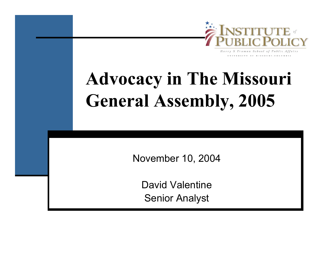

UNIVERSITY OF MISSOURI - COLUMBIA

**Advocacy in The Missouri General Assembly, 2005**

November 10, 2004

David ValentineSenior Analyst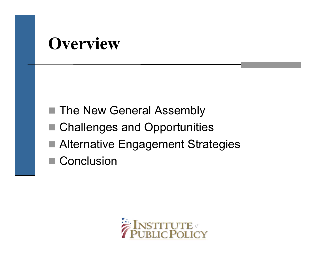### **Overview**

- The New General Assembly
- Challenges and Opportunities
- Alternative Engagement Strategies
- Conclusion

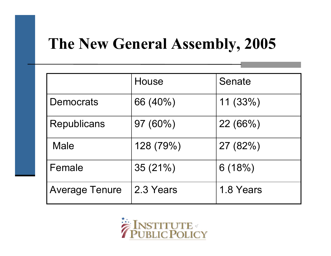#### **The New General Assembly, 2005**

|                       | House      | Senate    |
|-----------------------|------------|-----------|
| <b>Democrats</b>      | 66 (40%)   | 11(33%)   |
| <b>Republicans</b>    | $97(60\%)$ | 22(66%)   |
| <b>Male</b>           | 128 (79%)  | 27 (82%)  |
| Female                | 35(21%)    | 6(18%)    |
| <b>Average Tenure</b> | 2.3 Years  | 1.8 Years |

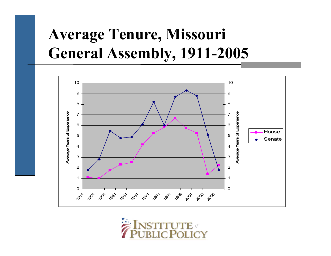### **Average Tenure, Missouri General Assembly, 1911-2005**



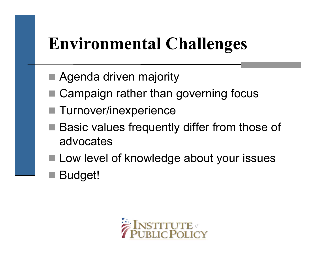# **Environmental Challenges**

- Agenda driven majority
- Campaign rather than governing focus
- Turnover/inexperience
- Basic values frequently differ from those of advocates
- **Low level of knowledge about your issues**
- parties<br>Parties Budget!

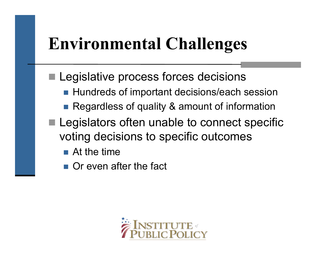# **Environmental Challenges**

- parties<br>Parties Legislative process forces decisions
	- Hundreds of important decisions/each session
	- Regardless of quality & amount of information
- **Legislators often unable to connect specific** voting decisions to specific outcomes
	- $\blacksquare$  At the time
	- **Or even after the fact**

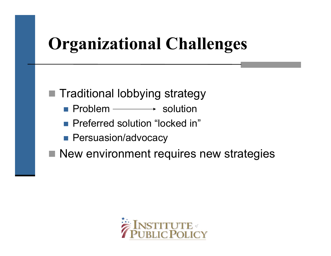# **Organizational Challenges**

■ Traditional lobbying strategy

- **Problem**  $\longrightarrow$  solution
- **Preferred solution "locked in"**
- **Persuasion/advocacy**

■ New environment requires new strategies

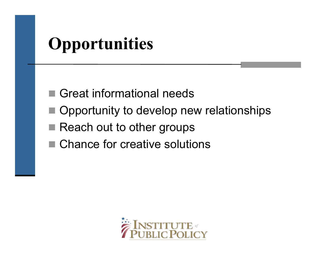# **Opportunities**

- Great informational needs
- Opportunity to develop new relationships
- Reach out to other groups
- Chance for creative solutions

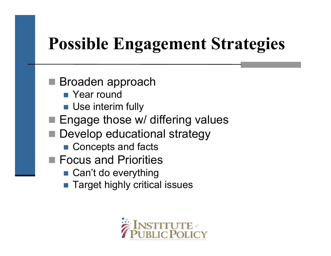# **Possible Engagement Strategies**

■ Broaden approach

- Year round
- **Use interim fully**
- Engage those w/ differing values
- Develop educational strategy
	- Concepts and facts
- Focus and Priorities
	- Can't do everything
	- Target highly critical issues

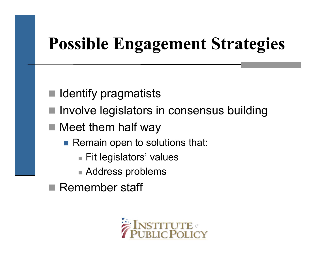# **Possible Engagement Strategies**

- h. Identify pragmatists
- Involve legislators in consensus building
- Meet them half way
	- Remain open to solutions that:
		- Fit legislators' values
		- Address problems
	- Remember staff

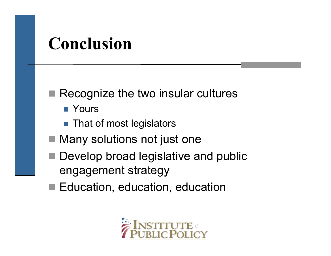## **Conclusion**

■ Recognize the two insular cultures

- Yours
- That of most legislators
- Many solutions not just one
- Develop broad legislative and public engagement strategy
- Education, education, education